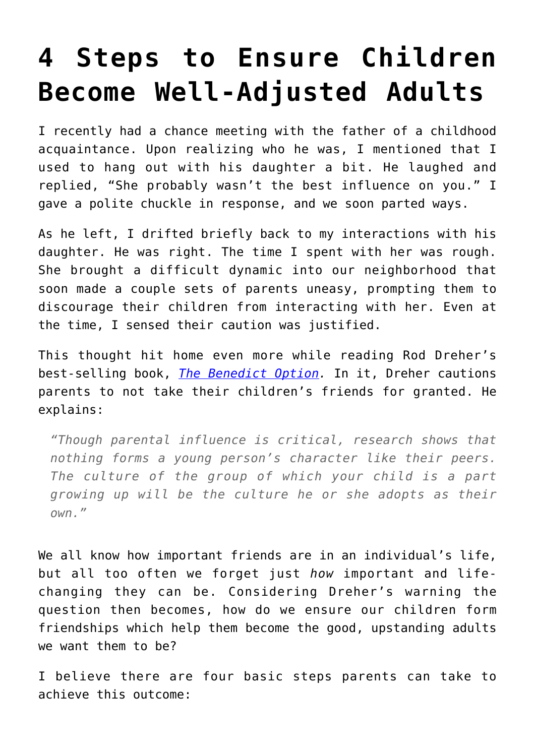# **[4 Steps to Ensure Children](https://intellectualtakeout.org/2018/04/4-steps-to-ensure-children-become-well-adjusted-adults/) [Become Well-Adjusted Adults](https://intellectualtakeout.org/2018/04/4-steps-to-ensure-children-become-well-adjusted-adults/)**

I recently had a chance meeting with the father of a childhood acquaintance. Upon realizing who he was, I mentioned that I used to hang out with his daughter a bit. He laughed and replied, "She probably wasn't the best influence on you." I gave a polite chuckle in response, and we soon parted ways.

As he left, I drifted briefly back to my interactions with his daughter. He was right. The time I spent with her was rough. She brought a difficult dynamic into our neighborhood that soon made a couple sets of parents uneasy, prompting them to discourage their children from interacting with her. Even at the time, I sensed their caution was justified.

This thought hit home even more while reading Rod Dreher's best-selling book, *[The Benedict Option](https://www.amazon.com/gp/product/0735213305/ref=as_li_qf_asin_il_tl?ie=UTF8&tag=intelltakeo0d-20&creative=9325&linkCode=as2&creativeASIN=0735213305&linkId=d33a35413dcb4f8946ed2dee3a1a2ea5).* In it, Dreher cautions parents to not take their children's friends for granted. He explains:

*"Though parental influence is critical, research shows that nothing forms a young person's character like their peers. The culture of the group of which your child is a part growing up will be the culture he or she adopts as their own."* 

We all know how important friends are in an individual's life, but all too often we forget just *how* important and lifechanging they can be. Considering Dreher's warning the question then becomes, how do we ensure our children form friendships which help them become the good, upstanding adults we want them to be?

I believe there are four basic steps parents can take to achieve this outcome: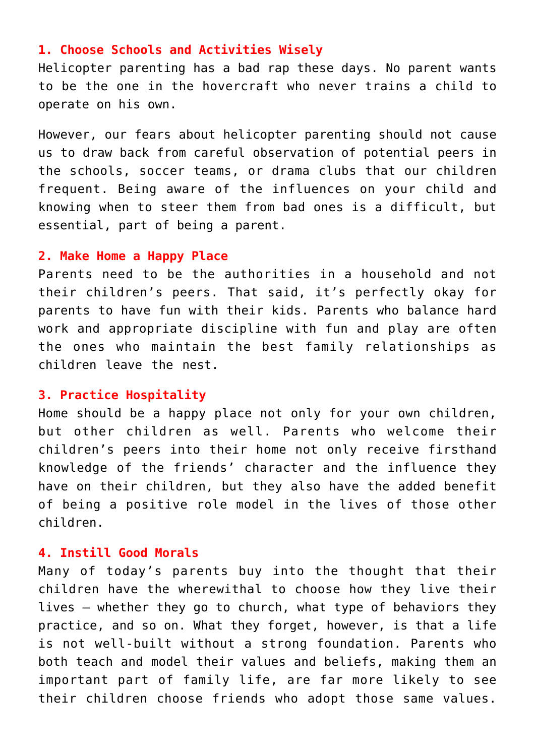### **1. Choose Schools and Activities Wisely**

Helicopter parenting has a bad rap these days. No parent wants to be the one in the hovercraft who never trains a child to operate on his own.

However, our fears about helicopter parenting should not cause us to draw back from careful observation of potential peers in the schools, soccer teams, or drama clubs that our children frequent. Being aware of the influences on your child and knowing when to steer them from bad ones is a difficult, but essential, part of being a parent.

#### **2. Make Home a Happy Place**

Parents need to be the authorities in a household and not their children's peers. That said, it's perfectly okay for parents to have fun with their kids. Parents who balance hard work and appropriate discipline with fun and play are often the ones who maintain the best family relationships as children leave the nest.

## **3. Practice Hospitality**

Home should be a happy place not only for your own children, but other children as well. Parents who welcome their children's peers into their home not only receive firsthand knowledge of the friends' character and the influence they have on their children, but they also have the added benefit of being a positive role model in the lives of those other children.

## **4. Instill Good Morals**

Many of today's parents buy into the thought that their children have the wherewithal to choose how they live their lives – whether they go to church, what type of behaviors they practice, and so on. What they forget, however, is that a life is not well-built without a strong foundation. Parents who both teach and model their values and beliefs, making them an important part of family life, are far more likely to see their children choose friends who adopt those same values.